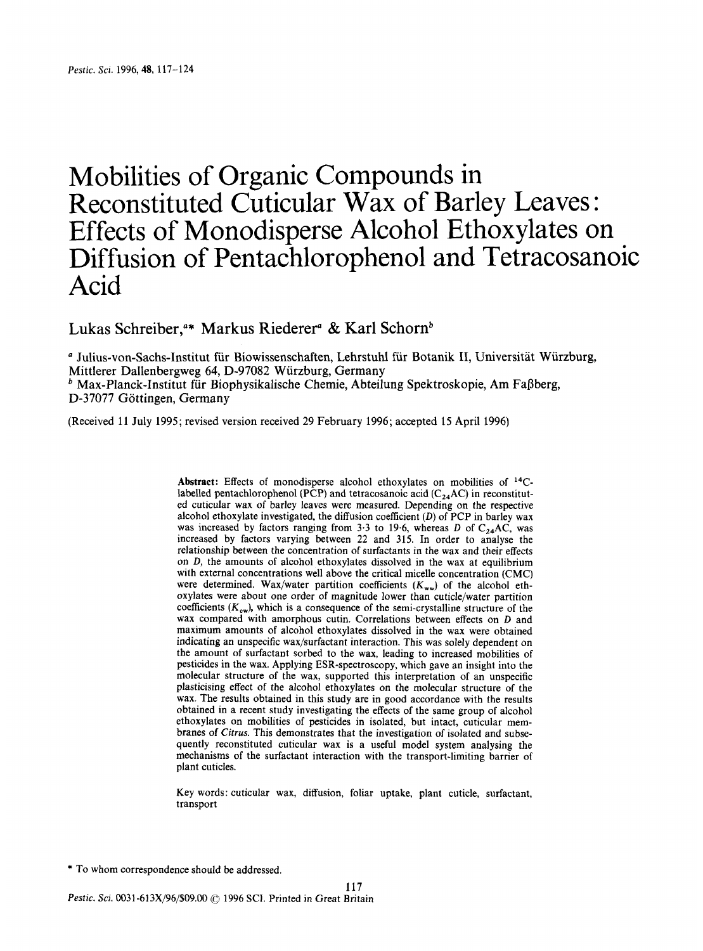# Mobilities of Organic Compounds in Reconstituted Cuticular Wax of Barley Leaves : Effects of Monodisperse Alcohol Ethoxylates on Diffusion of Pentachlorophenol and Tetracosanoic Acid

Lukas Schreiber,<sup>4\*</sup> Markus Riederer<sup>4</sup> & Karl Schorn<sup>b</sup>

Julius-von-Sachs-Institut fur Biowissenschaften, Lehrstuhl fur Botanik **11,** Universitat Wurzburg,  $<sup>b</sup>$  Max-Planck-Institut für Biophysikalische Chemie, Abteilung Spektroskopie, Am Faßberg,</sup> Mittlerer Dallenbergweg **64,** D-97082 Wurzburg, Germany D-37077 Göttingen, Germany

(Received 11 July 1995; revised version received 29 February 1996; accepted 15 **April** 1996)

**Abstract:** Effects of monodisperse alcohol ethoxylates on mobilities of 14Clabelled pentachlorophenol (PCP) and tetracosanoic acid ( $C_{24}AC$ ) in reconstituted cuticular wax of barley leaves were measured. Depending on the respective alcohol ethoxylate investigated, the diffusion coefficient  $(D)$  of PCP in barley wax was increased by factors ranging from 3.3 to 19.6, whereas D of  $C_{24}AC$ , was increased by factors varying between **22** and 315. In order to analyse the relationship between the concentration of surfactants in the wax and their effects on  $D$ , the amounts of alcohol ethoxylates dissolved in the wax at equilibrium with external concentrations well above the critical micelle concentration (CMC) were determined. Wax/water partition coefficients  $(K_{ww})$  of the alcohol ethoxylates were about one order of magnitude lower than cuticle/water partition coefficients  $(K_{cw})$ , which is a consequence of the semi-crystalline structure of the wax compared with amorphous cutin. Correlations between effects on D and maximum amounts of alcohol ethoxylates dissolved in the wax were obtained indicating an unspecific wax/surfactant interaction. This was solely dependent on the amount of surfactant sorbed to the wax, leading to increased mobilities of pesticides in the wax. Applying ESR-spectroscopy, which gave an insight into the molecular structure of the wax, supported this interpretation of an unspecific plasticising effect of the alcohol ethoxylates on the molecular structure of the wax. The results obtained in this study are in good accordance with the results obtained in a recent study investigating the effects of the same group of alcohol ethoxylates on mobilities of pesticides in isolated, but intact, cuticular membranes of *Citrus.* This demonstrates that the investigation of isolated and subsequently reconstituted cuticular wax is a useful model system analysing the mechanisms of the surfactant interaction with the transport-limiting barrier of plant cuticles.

Key words: cuticular wax, diffusion, foliar uptake, plant cuticle, surfactant, transport

\* To whom correspondence should be addressed.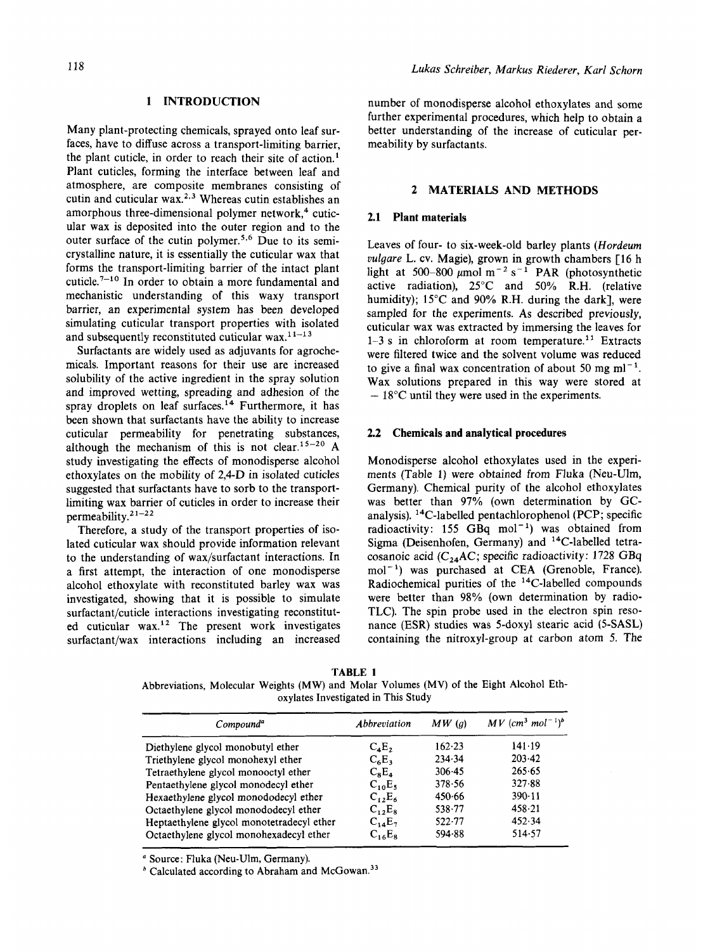# **1 INTRODUCTION**

Many plant-protecting chemicals, sprayed onto leaf surfaces, have to diffuse across a transport-limiting barrier, the plant cuticle, in order to reach their site of action.' Plant cuticles, forming the interface between leaf and atmosphere, are composite membranes consisting of cutin and cuticular wax.<sup>2,3</sup> Whereas cutin establishes an amorphous three-dimensional polymer network, $4$  cuticular wax is deposited into the outer region and to the outer surface of the cutin polymer.<sup>5,6</sup> Due to its semicrystalline nature, it is essentially the cuticular wax that forms the transport-limiting barrier of the intact plant cuticle.<sup>7-10</sup> In order to obtain a more fundamental and mechanistic understanding of this waxy transport barrier, an experimental system has been developed simulating cuticular transport properties with isolated and subsequently reconstituted cuticular wax. $11-13$ 

Surfactants are widely used as adjuvants for agrochemicals. Important reasons for their use are increased solubility of the active ingredient in the spray solution and improved wetting, spreading and adhesion of the spray droplets on leaf surfaces.<sup>14</sup> Furthermore, it has been shown that surfactants have the ability to increase cuticular permeability for penetrating substances, although the mechanism of this is not clear.<sup>15-20</sup> A study investigating the effects of monodisperse alcohol ethoxylates on the mobility of 2,4-D in isolated cuticles suggested that surfactants have to sorb to the transportlimiting wax barrier of cuticles in order to increase their permeability.<sup>21-22</sup>

Therefore, a study of the transport properties of isolated cuticular wax should provide information relevant to the understanding of wax/surfactant interactions. In a first attempt, the interaction of one monodisperse alcohol ethoxylate with reconstituted barley wax was investigated, showing that it is possible to simulate surfactant/cuticle interactions investigating reconstituted cuticular wax.<sup>12</sup> The present work investigates surfactant/wax interactions including an increased number **of** monodisperse alcohol ethoxylates and some further experimental procedures, which help to obtain a better understanding of the increase of cuticular permeability by surfactants.

## **2 MATERIALS AND METHODS**

# **2.1 Plant materials**

Leaves **of** four- to six-week-old barley plants *(Hordeurn vulgare* L. cv. Magie), grown in growth chambers [16 h light at 500-800  $\mu$ mol m<sup>-2</sup> s<sup>-1</sup> PAR (photosynthetic active radiation), 25°C and 50% **R.H.** (relative humidity); 15°C and 90% **R.H.** during the dark], were sampled for the experiments. As described previously, cuticular wax was extracted by immersing the leaves for  $1-3$  s in chloroform at room temperature.<sup>11</sup> Extracts were filtered twice and the solvent volume was reduced to give a final wax concentration of about 50 mg  $ml^{-1}$ . Wax solutions prepared in this way were stored at  $-18^{\circ}$ C until they were used in the experiments.

## **2.2 Chemicals and analytical procedures**

Monodisperse alcohol ethoxylates used in the experiments (Table 1) were obtained from Fluka (Neu-Ulm, Germany). Chemical purity of the alcohol ethoxylates was better than **97%** (own determination by GCanalysis). 14C-labelled pentachlorophenol (PCP; specific radioactivity: 155 GBq mol<sup>-1</sup>) was obtained from Sigma (Deisenhofen, Germany) and 14C-labelled tetracosanoic acid ( $C_{24}$ AC; specific radioactivity: 1728 GBq mol<sup>-1</sup>) was purchased at CEA (Grenoble, France). Radiochemical purities of the  $14$ C-labelled compounds were better than **98%** (own determination by radio-TLC). The spin probe used in the electron spin resonance (ESR) studies was 5-doxy1 stearic acid **(5-SASL)**  containing the nitroxyl-group at carbon atom *5.* The

| TABLE 1                                                                                |  |  |                                     |  |  |  |  |  |  |
|----------------------------------------------------------------------------------------|--|--|-------------------------------------|--|--|--|--|--|--|
| Abbreviations, Molecular Weights (MW) and Molar Volumes (MV) of the Eight Alcohol Eth- |  |  |                                     |  |  |  |  |  |  |
|                                                                                        |  |  | oxylates Investigated in This Study |  |  |  |  |  |  |

| Compound <sup>a</sup>                     | Abbreviation | MW(a)      | $MV$ (cm <sup>3</sup> mol <sup>-1</sup> ) <sup>b</sup> |  |
|-------------------------------------------|--------------|------------|--------------------------------------------------------|--|
| Diethylene glycol monobutyl ether         | $C_4E_2$     | 162.23     | 141.19                                                 |  |
| Triethylene glycol monohexyl ether        | $C_6E_3$     | 234.34     | 203.42                                                 |  |
| Tetraethylene glycol monooctyl ether      | $C_8E_4$     | 306.45     | 265.65                                                 |  |
| Pentaethylene glycol monodecyl ether      | $C_{10}E_5$  | 378.56     | 327.88                                                 |  |
| Hexaethylene glycol monododecyl ether     | $C_{12}E_6$  | 450.66     | $390-11$                                               |  |
| Octaethylene glycol monododecyl ether     | $C_{12}E_8$  | 538.77     | 458.21                                                 |  |
| Heptaethylene glycol monotetradecyl ether | $C_{14}E_7$  | $522 - 77$ | 452.34                                                 |  |
| Octaethylene glycol monohexadecyl ether   | $C_{16}E_8$  | 594.88     | 514.57                                                 |  |

Source: Fluka (Neu-Ulm, Germany).

 $<sup>b</sup>$  Calculated according to Abraham and McGowan.<sup>33</sup></sup>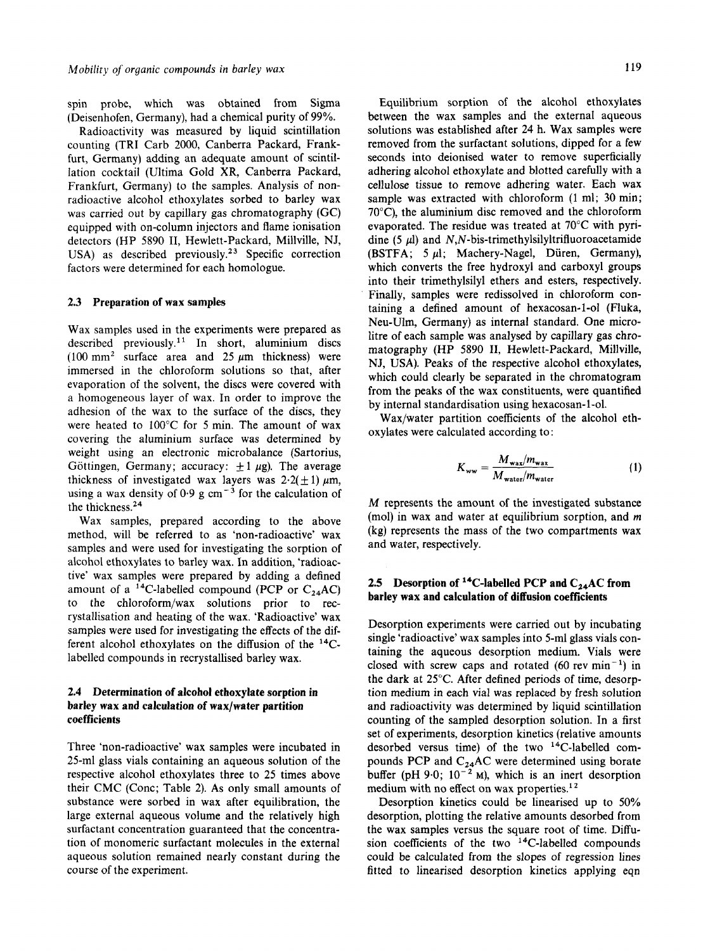spin probe, which was obtained from Sigma (Deisenhofen, Germany), had a chemical purity of 99%.

Radioactivity was measured by liquid scintillation counting (TRI Carb 2000, Canberra Packard, Frankfurt, Germany) adding an adequate amount of scintillation cocktail (Ultima Gold XR, Canberra Packard, Frankfurt, Germany) to the samples. Analysis of nonradioactive alcohol ethoxylates sorbed to barley wax was carried out by capillary gas chromatography (GC) equipped with on-column injectors and flame ionisation detectors (HP 5890 11, Hewlett-Packard, Millville, NJ, USA) as described previously.<sup>23</sup> Specific correction factors were determined for each homologue.

#### **2.3 Preparation of wax samples**

Wax samples used in the experiments were prepared as described previously.<sup>11</sup> In short, aluminium discs (100 mm<sup>2</sup> surface area and 25  $\mu$ m thickness) were immersed in the chloroform solutions so that, after evaporation of the solvent, the discs were covered with a homogeneous layer of wax. In order to improve the adhesion of the wax to the surface of the discs, they were heated to 100°C for *5* min. The amount of wax covering the aluminium surface was determined by weight using an electronic microbalance (Sartorius, Göttingen, Germany; accuracy:  $\pm 1 \mu$ g). The average thickness of investigated wax layers was  $2.2(\pm 1) \mu m$ , using a wax density of  $0.9 \text{ g cm}^{-3}$  for the calculation of the thickness.24

Wax samples, prepared according to the above method, will be referred to as 'non-radioactive' wax samples and were used for investigating the sorption of alcohol ethoxylates to barley wax. In addition, 'radioactive' wax samples were prepared by adding a defined amount of a <sup>14</sup>C-labelled compound (PCP or  $C_{24}AC$ ) to the chloroform/wax solutions prior to recrystallisation and heating of the wax. 'Radioactive' wax samples were used for investigating the effects of the different alcohol ethoxylates on the diffusion of the  $^{14}C$ labelled compounds in recrystallised barley wax.

# **2.4 Determination of alcohol ethoxylate sorption in**  barley wax and calculation of wax/water partition **coefficients**

Three 'non-radioactive' wax samples were incubated in 25-ml glass vials containing an aqueous solution of the respective alcohol ethoxylates three to *25* times above their CMC (Conc; Table 2). As only small amounts of substance were sorbed in wax after equilibration, the large external aqueous volume and the relatively high surfactant concentration guaranteed that the concentration of monomeric surfactant molecules in the external aqueous solution remained nearly constant during the course of the experiment.

Equilibrium sorption of the alcohol ethoxylates between the wax samples and the external aqueous solutions was established after **24** h. Wax samples were removed from the surfactant solutions, dipped for a few seconds into deionised water to remove superficially adhering alcohol ethoxylate and blotted carefully with a cellulose tissue to remove adhering water. Each wax sample was extracted with chloroform (1 ml; 30 min; 70°C), the aluminium disc removed and the chloroform evaporated. The residue was treated at 70°C with pyridine *(5* pl) and **N,N-bis-trimethylsilyltrifluoroacetamide**  (BSTFA; *5* pl; Machery-Nagel, Duren, Germany), which converts the free hydroxyl and carboxyl groups into their trimethylsilyl ethers and esters, respectively. Finally, samples were redissolved in chloroform containing a defined amount of hexacosan-1-01 (Fluka, Neu-Ulm, Germany) as internal standard. One microlitre of each sample was analysed by capillary gas chromatography (HP 5890 11, Hewlett-Packard, Millville, **NJ,** USA). Peaks of the respective alcohol ethoxylates, which could clearly be separated in the chromatogram from the peaks of the wax constituents, were quantified by internal standardisation using hexacosan-1-01.

Wax/water partition coefficients of the alcohol ethoxylates were calculated according to :

$$
K_{ww} = \frac{M_{\text{wav}}/m_{\text{war}}}{M_{\text{water}}/m_{\text{water}}}
$$
 (1)

M represents the amount of the investigated substance (mol) in wax and water at equilibrium sorption, and *m* (kg) represents the mass of the two compartments wax and water, respectively.

# **2.5** Desorption of <sup>14</sup>C-labelled PCP and  $C_{24}$ AC from **barley wax and calculation of diffusion coefficients**

Desorption experiments were carried out by incubating single 'radioactive' wax samples into 5-ml glass vials containing the aqueous desorption medium. Vials were closed with screw caps and rotated (60 rev min<sup>-1</sup>) in the dark at 25°C. After defined periods of time, desorption medium in each vial was replaced by fresh solution and radioactivity was determined by liquid scintillation counting of the sampled desorption solution. In a first set of experiments, desorption kinetics (relative amounts desorbed versus time) of the two  $14$ C-labelled compounds PCP and  $C_{24}$ AC were determined using borate buffer (pH 9.0;  $10^{-2}$  M), which is an inert desorption medium with no effect on wax properties.<sup>12</sup>

Desorption kinetics could be linearised up to 50% desorption, plotting the relative amounts desorbed from the wax samples versus the square root of time. Diffusion coefficients of the two  $14$ C-labelled compounds could be calculated from the slopes of regression lines fitted to linearised desorption kinetics applying eqn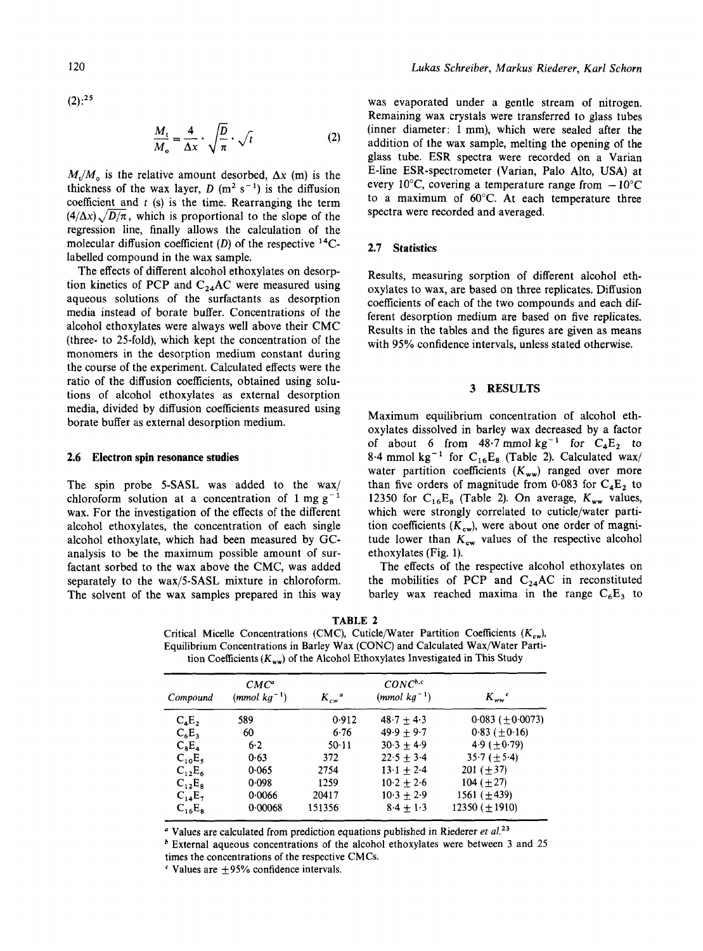$(2):^{25}$ 

$$
\frac{M_t}{M_o} = \frac{4}{\Delta x} \cdot \sqrt{\frac{D}{\pi}} \cdot \sqrt{t}
$$
 (2)

 $M_y/M_a$  is the relative amount desorbed,  $\Delta x$  (m) is the thickness of the wax layer,  $D(m^2 s^{-1})$  is the diffusion coefficient and  $t$  (s) is the time. Rearranging the term  $(4/\Delta x)$ ,  $\sqrt{D/\pi}$ , which is proportional to the slope of the regression line, finally allows the calculation of the molecular diffusion coefficient (D) of the respective  $^{14}$ Clabelled compound in the wax sample.

The effects of different alcohol ethoxylates on desorption kinetics of PCP and  $C_{24}$ AC were measured using aqueous solutions of the surfactants as desorption media instead of borate buffer. Concentrations of the alcohol ethoxylates were always well above their CMC (three- to 25-fold), which kept the concentration of the monomers in the desorption medium constant during the course of the experiment. Calculated effects were the ratio of the diffusion coefficients, obtained using solutions of alcohol ethoxylates as external desorption media, divided by diffusion coefficients measured using borate buffer as external desorption medium.

#### **2.6 Electron spin resonance studies**

The spin probe 5-SASL was added to the wax/ chloroform solution at a concentration of  $1 \text{ mg g}^{-1}$ wax. For the investigation of the effects of the different alcohol ethoxylates, the concentration of each single alcohol ethoxylate, which had been measured by GCanalysis to be the maximum possible amount of surfactant sorbed to the wax above the CMC, was added separately to the wax/S-SASL mixture in chloroform. The solvent of the wax samples prepared in this way

was evaporated under a gentle stream of nitrogen. Remaining wax crystals were transferred to glass tubes (inner diameter: 1 mm), which were sealed after the addition of the wax sample, melting the opening of the glass tube. **ESR** spectra were recorded on a Varian E-line ESR-spectrometer (Varian, Palo Alto, **USA)** at every 10°C, covering a temperature range from  $-10^{\circ}$ C to a maximum of *60°C.* At each temperature three spectra were recorded and averaged.

## **2.7 Statistics**

Results, measuring sorption of different alcohol ethoxylates to wax, are based on three replicates. Diffusion coefficients of each of the two compounds and each different desorption medium are based on five replicates. Results in the tables and the figures are given as means with 95% confidence intervals, unless stated otherwise.

## **3 RESULTS**

Maximum equilibrium concentration of alcohol ethoxylates dissolved in barley wax decreased by a factor of about 6 from  $48.7$  mmol kg<sup>-1</sup> for  $C_4E_2$  to  $8.4$  mmol kg<sup>-1</sup> for  $C_{16}E_8$  (Table 2). Calculated wax/ water partition coefficients  $(K_{ww})$  ranged over more than five orders of magnitude from  $0.083$  for  $C_4E_2$  to 12350 for  $C_{16}E_8$  (Table 2). On average,  $K_{ww}$  values, which were strongly correlated to cuticle/water partition coefficients  $(K_{cw})$ , were about one order of magnitude lower than  $K_{\rm cw}$  values of the respective alcohol ethoxylates (Fig. 1).

The effects of the respective alcohol ethoxylates on the mobilities of PCP and  $C_{24}AC$  in reconstituted barley wax reached maxima in the range  $C_6E_3$  to

**TABLE 2**  Critical Micelle Concentrations *(CMC)*, Cuticle/Water Partition Coefficients *(K<sub>ew</sub>)*, Equilibrium Concentrations in Barley Wax (CONC) and Calculated Wax/Water Partition Coefficients  $(K_{ww})$  of the Alcohol Ethoxylates Investigated in This Study

| Compound    | $CMC^a$<br>$(mmol\ kg^{-1})$ | $K_{cw}^a$ | $CONC^{b,c}$<br>$(mmol\ kg^{-1})$ | $K_{ww}$ <sup>c</sup>    |  |  |
|-------------|------------------------------|------------|-----------------------------------|--------------------------|--|--|
| $C_4E_2$    | 589                          | 0.912      | $48.7 + 4.3$                      | $0.083$ ( $\pm 0.0073$ ) |  |  |
| $C_6E_3$    | 60                           | 6.76       | $49.9 + 9.7$                      | $0.83 \ (\pm 0.16)$      |  |  |
| $C_8E_4$    | 6.2                          | $50-11$    | $30.3 + 4.9$                      | 4.9 ( $\pm$ 0.79)        |  |  |
| $C_{10}E_5$ | 0.63                         | 372        | $22.5 + 3.4$                      | 35.7 ( $\pm$ 5.4)        |  |  |
| $C_{12}E_6$ | 0.065                        | 2754       | $13.1 + 2.4$                      | 201 $(\pm 37)$           |  |  |
| $C_{12}E_8$ | 0.098                        | 1259       | $10.2 + 2.6$                      | 104 $(\pm 27)$           |  |  |
| $C_{14}E_7$ | 0.0066                       | 20417      | $10.3 + 2.9$                      | 1561 $(\pm 439)$         |  |  |
| $C_{16}E_8$ | 0.00068                      | 151356     | $8.4 + 1.3$                       | $12350 \ (\pm 1910)$     |  |  |

<sup>a</sup> Values are calculated from prediction equations published in Riederer et al.<sup>23</sup>

times the concentrations of the respective CMCs.  $b$  External aqueous concentrations of the alcohol ethoxylates were between 3 and 25

 $\cdot$  Values are  $\pm$ 95% confidence intervals.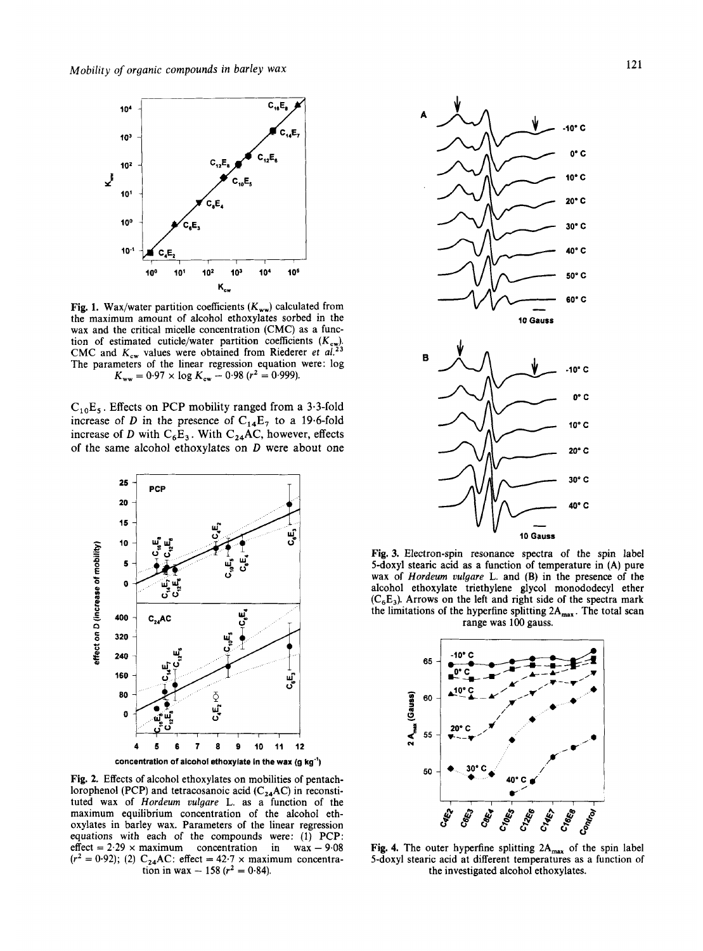

**Fig. 1.** Wax/water partition coefficients  $(K_{ww})$  calculated from the maximum amount of alcohol ethoxylates sorbed in the wax and the critical micelle concentration (CMC) as a function of estimated cuticle/water partition coefficients *(Kcw).*  CMC and  $K_{\text{cw}}$  values were obtained from Riederer *et al.*<sup>23</sup> The parameters of the linear regression equation were: log  $K_{ww} = 0.97 \times \log K_{cw} - 0.98 (r^2 = 0.999)$ .

 $C_{10}E_5$ . Effects on PCP mobility ranged from a 3.3-fold increase of *D* in the presence of  $C_{14}E_7$  to a 19.6-fold increase of D with  $C_6E_3$ . With  $C_{24}AC$ , however, effects of the same alcohol ethoxylates on  $D$  were about one



**Fig. 2.** Effects of alcohol ethoxylates on mobilities of pentachlorophenol (PCP) and tetracosanoic acid  $(C_{24}AC)$  in reconstituted wax of *Hordeum vulgare* L. as a function of the maximum equilibrium concentration of the alcohol ethoxylates in barley wax. Parameters of the linear regression equations with each of the compounds were: (1) PCP: effect =  $2.29 \times$  maximum concentration in wax - 9.08  $(r^2 = 0.92)$ ; (2)  $C_{24}AC$ : effect = 42.7 x maximum concentration in wax - 158 ( $r^2 = 0.84$ ).



**Fig. 3.** Electron-spin resonance spectra of the spin label 5-doxy1 stearic acid as a function of temperature in (A) pure wax of *Hordeum vulgare* L. and **(B)** in the presence of the alcohol ethoxylate triethylene glycol monododecyl ether  $(C_6E_3)$ . Arrows on the left and right side of the spectra mark the limitations of the hyperfine splitting  $2A_{\text{max}}$ . The total scan range was 100 gauss.



Fig. 4. The outer hyperfine splitting 2A<sub>max</sub> of the spin label 5-doxy1 stearic acid at different temperatures as a function of the investigated alcohol ethoxylates.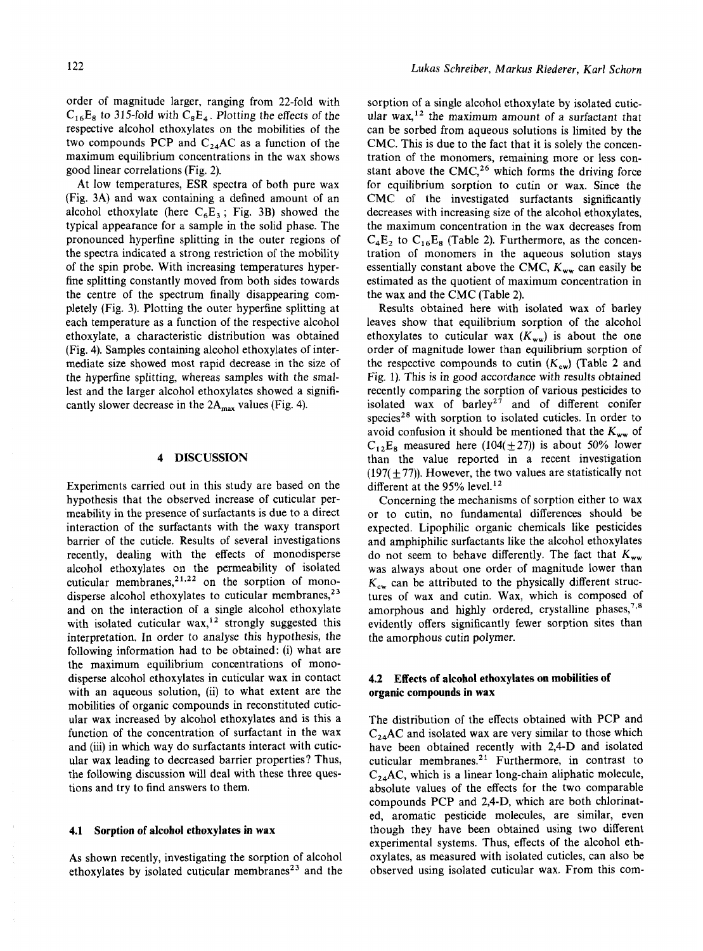order of magnitude larger, ranging from 22-fold with  $C_{16}E_8$  to 315-fold with  $C_8E_4$ . Plotting the effects of the respective alcohol ethoxylates on the mobilities of the two compounds PCP and  $C_{24}AC$  as a function of the maximum equilibrium concentrations in the wax shows good linear correlations (Fig. 2).

At low temperatures, ESR spectra of both pure wax (Fig. 3A) and wax containing a defined amount of an alcohol ethoxylate (here  $C_6E_3$ ; Fig. 3B) showed the typical appearance for a sample in the solid phase. The pronounced hyperfine splitting in the outer regions of the spectra indicated a strong restriction of the mobility of the spin probe. With increasing temperatures hyperfine splitting constantly moved from both sides towards the centre of the spectrum finally disappearing completely (Fig. **3).** Plotting the outer hyperfine splitting at each temperature as a function of the respective alcohol ethoxylate, a characteristic distribution was obtained (Fig. 4). Samples containing alcohol ethoxylates of intermediate size showed most rapid decrease in the size of the hyperfine splitting, whereas samples with the smallest and the larger alcohol ethoxylates showed a significantly slower decrease in the  $2A_{max}$  values (Fig. 4).

# **4 DISCUSSION**

Experiments carried out in this study are based on the hypothesis that the observed increase of cuticular permeability in the presence of surfactants is due to a direct interaction of the surfactants with the waxy transport barrier of the cuticle. Results of several investigations recently, dealing with the effects of monodisperse alcohol ethoxylates on the permeability of isolated cuticular membranes, $2^{1,22}$  on the sorption of monodisperse alcohol ethoxylates to cuticular membranes, $^{23}$ and on the interaction of a single alcohol ethoxylate with isolated cuticular  $\text{wax},^{12}$  strongly suggested this interpretation. In order to analyse this hypothesis, the following information had to be obtained: (i) what are the maximum equilibrium concentrations of monodisperse alcohol ethoxylates in cuticular wax in contact with an aqueous solution, (ii) to what extent are the mobilities of organic compounds in reconstituted cuticular wax increased by alcohol ethoxylates and is this a function of the concentration of surfactant in the wax and (iii) in which way do surfactants interact with cuticular wax leading to decreased barrier properties? Thus, the following discussion will deal with these three questions and try to find answers to them.

### **4.1 Sorption of alcohol ethoxylates in wax**

As shown recently, investigating the sorption of alcohol ethoxylates by isolated cuticular membranes<sup>23</sup> and the

sorption of a single alcohol ethoxylate by isolated cuticular wax,<sup>12</sup> the maximum amount of a surfactant that can be sorbed from aqueous solutions is limited by the CMC. This is due to the fact that it is solely the concentration of the monomers, remaining more or less constant above the CMC,<sup>26</sup> which forms the driving force for equilibrium sorption to cutin or wax. Since the CMC of the investigated surfactants significantly decreases with increasing size of the alcohol ethoxylates, the maximum concentration in the wax decreases from  $C_4E_2$  to  $C_{16}E_8$  (Table 2). Furthermore, as the concentration of monomers in the aqueous solution stays essentially constant above the CMC,  $K_{ww}$  can easily be estimated as the quotient of maximum concentration in the wax and the CMC (Table 2).

Results obtained here with isolated wax of barley leaves show that equilibrium sorption of the alcohol ethoxylates to cuticular wax  $(K_{ww})$  is about the one order of magnitude lower than equilibrium sorption of the respective compounds to cutin  $(K_{cw})$  (Table 2 and Fig. 1). This is in good accordance with results obtained recently comparing the sorption of various pesticides to isolated wax of barley<sup> $27$ </sup> and of different conifer species<sup>28</sup> with sorption to isolated cuticles. In order to avoid confusion it should be mentioned that the  $K_{ww}$  of  $C_{12}E_8$  measured here (104( $\pm$ 27)) is about 50% lower than the value reported in a recent investigation  $(197(+77))$ . However, the two values are statistically not different at the 95% level.<sup>12</sup>

Concerning the mechanisms of sorption either to wax or to cutin, no fundamental differences should be expected. Lipophilic organic chemicals like pesticides and amphiphilic surfactants like the alcohol ethoxylates do not seem to behave differently. The fact that  $K_{ww}$ was always about one order of magnitude lower than  $K_{\rm cw}$  can be attributed to the physically different structures of wax and cutin. Wax, which is composed of amorphous and highly ordered, crystalline phases,<sup>7,8</sup> evidently offers significantly fewer sorption sites than the amorphous cutin polymer.

# **4.2 Effects of alcohol ethoxylates on mobilities of organic compounds in wax**

The distribution of the effects obtained with PCP and  $C_{24}$ AC and isolated wax are very similar to those which have been obtained recently with 2,4-D and isolated cuticular membranes. $21$  Furthermore, in contrast to  $C_{24}$ AC, which is a linear long-chain aliphatic molecule, absolute values of the effects for the two comparable compounds PCP and 2,4-D, which are both chlorinated, aromatic pesticide molecules, are similar, even though they have been obtained using two different experimental systems. Thus, effects of the alcohol ethoxylates, as measured with isolated cuticles, can also be observed using isolated cuticular wax. From this com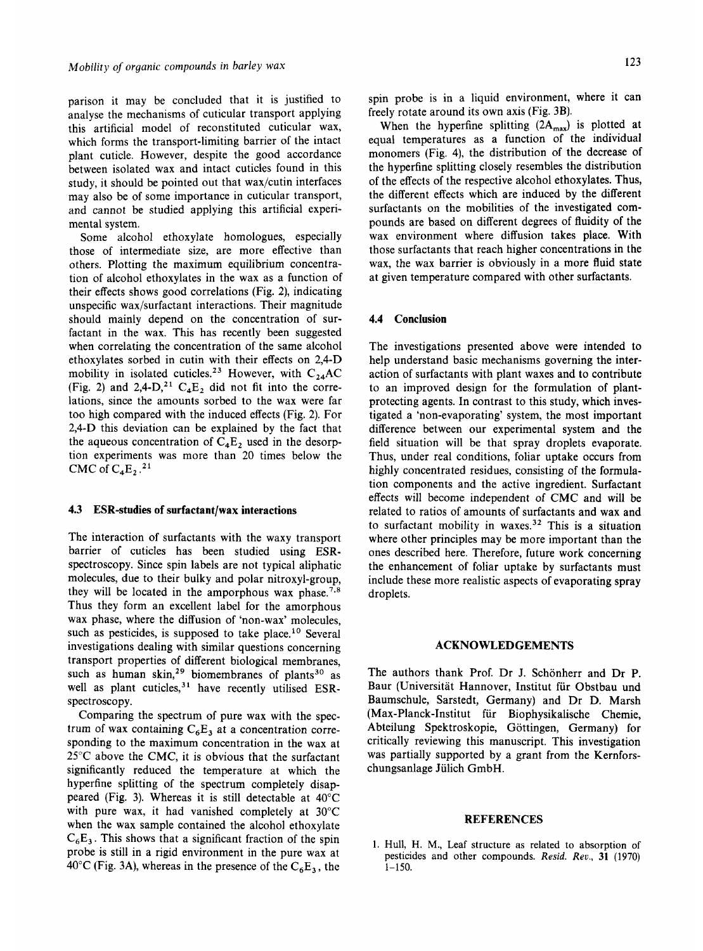parison it may be concluded that it is justified to analyse the mechanisms of cuticular transport applying this artificial model of reconstituted cuticular wax, which forms the transport-limiting barrier of the intact plant cuticle. However, despite the good accordance between isolated wax and intact cuticles found in this study, it should be pointed out that wax/cutin interfaces may also be of some importance in cuticular transport, and cannot be studied applying this artificial experimental system.

Some alcohol ethoxylate homologues, especially those of intermediate size, are more effective than others. Plotting the maximum equilibrium concentration of alcohol ethoxylates in the wax as a function of their effects shows good correlations (Fig. **21,** indicating unspecific wax/surfactant interactions. Their magnitude should mainly depend on the concentration of surfactant in the wax. This has recently been suggested when correlating the concentration of the same alcohol ethoxylates sorbed in cutin with their effects on 2,4-D mobility in isolated cuticles.<sup>23</sup> However, with C<sub>24</sub>AC (Fig. 2) and 2,4-D,<sup>21</sup>  $C_4E_2$  did not fit into the correlations, since the amounts sorbed to the wax were far too high compared with the induced effects (Fig. 2). For 2,4-D this deviation can be explained by the fact that the aqueous concentration of  $C_4E_2$  used in the desorption experiments was more than 20 times below the CMC of **C4E,** .21

#### **4.3 ESR-studies of surfactant/wax interactions**

The interaction of surfactants with the waxy transport barrier of cuticles has been studied using ESRspectroscopy. Since spin labels are not typical aliphatic molecules, due to their bulky and polar nitroxyl-group, they will be located in the amporphous wax phase.<sup>7,8</sup> Thus they form an excellent label for the amorphous wax phase, where the diffusion of 'non-wax' molecules, such as pesticides, is supposed to take place.<sup>10</sup> Several investigations dealing with similar questions concerning transport properties of different biological membranes, such as human skin,<sup>29</sup> biomembranes of plants<sup>30</sup> as well as plant cuticles,<sup>31</sup> have recently utilised ESRspectroscopy.

Comparing the spectrum of pure wax with the spectrum of wax containing  $C_6E_3$  at a concentration corresponding to the maximum concentration in the wax at 25°C above the CMC, it is obvious that the surfactant significantly reduced the temperature at which the hyperfine splitting of the spectrum completely disappeared (Fig. 3). Whereas it is still detectable at 40°C with pure wax, it had vanished completely at 30°C when the wax sample contained the alcohol ethoxylate  $C_6E_3$ . This shows that a significant fraction of the spin probe is still in a rigid environment in the pure wax at  $40^{\circ}$ C (Fig. 3A), whereas in the presence of the C<sub>6</sub>E<sub>3</sub>, the spin probe is in a liquid environment, where it can freely rotate around its own axis (Fig. 3B).

When the hyperfine splitting  $(2A_{max})$  is plotted at equal temperatures as a function of the individual monomers (Fig. 4), the distribution of the decrease of the hyperfine splitting closely resembles the distribution of the effects of the respective alcohol ethoxylates. Thus, the different effects which are induced by the different surfactants on the mobilities of the investigated compounds are based on different degrees of fluidity of the wax environment where diffusion takes place. With those surfactants that reach higher concentrations in the wax, the wax barrier is obviously in a more fluid state at given temperature compared with other surfactants.

#### **4.4 Conclusion**

The investigations presented above were intended to help understand basic mechanisms governing the interaction of surfactants with plant waxes and to contribute to an improved design for the formulation of plantprotecting agents. In contrast to this study, which investigated a 'non-evaporating' system, the most important difference between our experimental system and the field situation will be that spray droplets evaporate. Thus, under real conditions, foliar uptake occurs from highly concentrated residues, consisting of the formulation components and the active ingredient. Surfactant effects will become independent of CMC and will be related to ratios of amounts of surfactants and wax and to surfactant mobility in waxes.<sup>32</sup> This is a situation where other principles may be more important than the ones described here. Therefore, future work concerning the enhancement of foliar uptake by surfactants must include these more realistic aspects of evaporating spray droplets.

#### **ACKNOWLEDGEMENTS**

The authors thank Prof. Dr J. Schonherr and Dr **P.**  Baur (Universität Hannover, Institut für Obstbau und Baumschule, Sarstedt, Germany) and Dr D. Marsh (Max-Planck-Institut fur Biophysikalische Chemie, Abteilung Spektroskopie, Gottingen, Germany) for critically reviewing this manuscript. This investigation was partially supported by a grant from the Kernforschungsanlage Jülich GmbH.

## **REFERENCES**

1. Hull, **H. M.,** Leaf structure **as** related to absorption of pesticides and other compounds. *Red. Rev.,* **31** (1970) **1-150.**